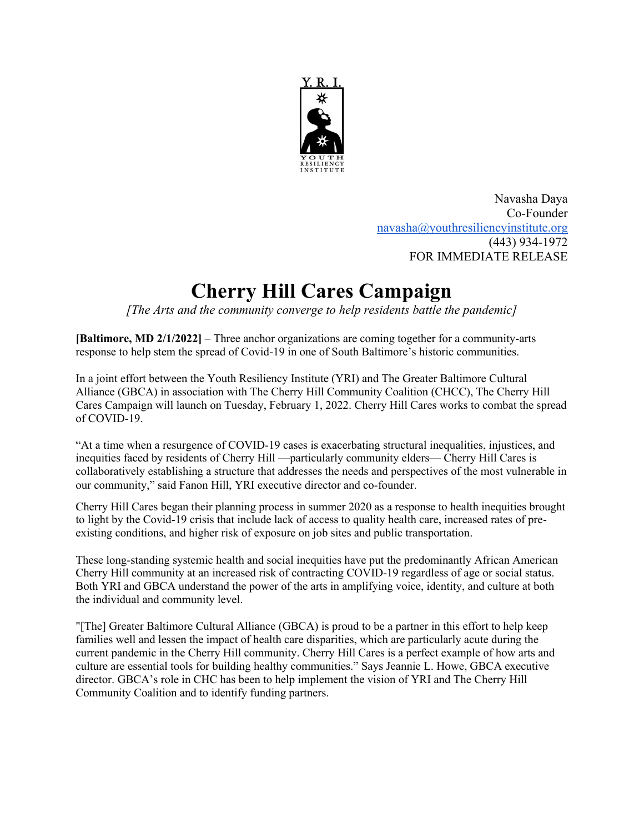

Navasha Daya Co-Founder navasha@youthresiliencyinstitute.org (443) 934-1972 FOR IMMEDIATE RELEASE

## **Cherry Hill Cares Campaign**

*[The Arts and the community converge to help residents battle the pandemic]*

**[Baltimore, MD 2/1/2022]** – Three anchor organizations are coming together for a community-arts response to help stem the spread of Covid-19 in one of South Baltimore's historic communities.

In a joint effort between the Youth Resiliency Institute (YRI) and The Greater Baltimore Cultural Alliance (GBCA) in association with The Cherry Hill Community Coalition (CHCC), The Cherry Hill Cares Campaign will launch on Tuesday, February 1, 2022. Cherry Hill Cares works to combat the spread of COVID-19.

"At a time when a resurgence of COVID-19 cases is exacerbating structural inequalities, injustices, and inequities faced by residents of Cherry Hill —particularly community elders— Cherry Hill Cares is collaboratively establishing a structure that addresses the needs and perspectives of the most vulnerable in our community," said Fanon Hill, YRI executive director and co-founder.

Cherry Hill Cares began their planning process in summer 2020 as a response to health inequities brought to light by the Covid-19 crisis that include lack of access to quality health care, increased rates of preexisting conditions, and higher risk of exposure on job sites and public transportation.

These long-standing systemic health and social inequities have put the predominantly African American Cherry Hill community at an increased risk of contracting COVID-19 regardless of age or social status. Both YRI and GBCA understand the power of the arts in amplifying voice, identity, and culture at both the individual and community level.

"[The] Greater Baltimore Cultural Alliance (GBCA) is proud to be a partner in this effort to help keep families well and lessen the impact of health care disparities, which are particularly acute during the current pandemic in the Cherry Hill community. Cherry Hill Cares is a perfect example of how arts and culture are essential tools for building healthy communities." Says Jeannie L. Howe, GBCA executive director. GBCA's role in CHC has been to help implement the vision of YRI and The Cherry Hill Community Coalition and to identify funding partners.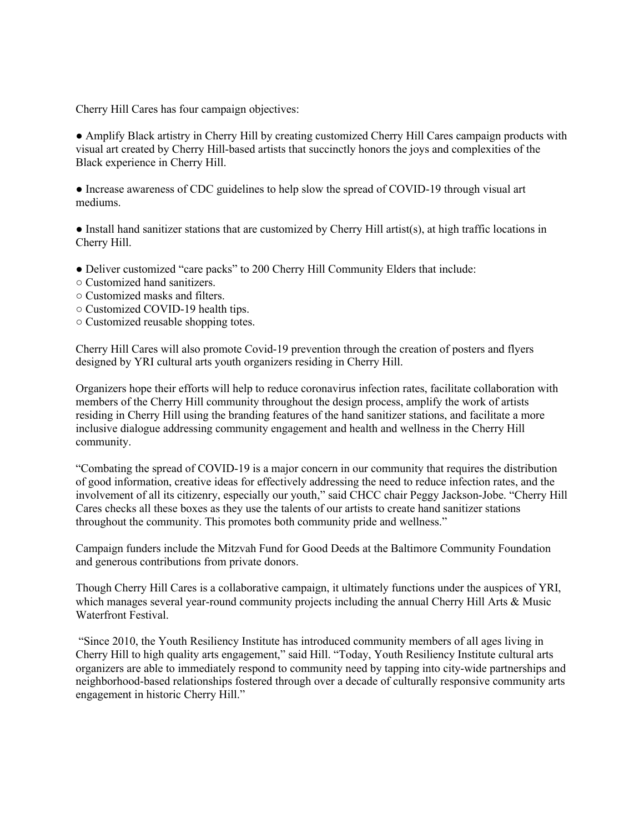Cherry Hill Cares has four campaign objectives:

● Amplify Black artistry in Cherry Hill by creating customized Cherry Hill Cares campaign products with visual art created by Cherry Hill-based artists that succinctly honors the joys and complexities of the Black experience in Cherry Hill.

• Increase awareness of CDC guidelines to help slow the spread of COVID-19 through visual art mediums.

● Install hand sanitizer stations that are customized by Cherry Hill artist(s), at high traffic locations in Cherry Hill.

● Deliver customized "care packs" to 200 Cherry Hill Community Elders that include:

- Customized hand sanitizers.
- Customized masks and filters.
- Customized COVID-19 health tips.
- Customized reusable shopping totes.

Cherry Hill Cares will also promote Covid-19 prevention through the creation of posters and flyers designed by YRI cultural arts youth organizers residing in Cherry Hill.

Organizers hope their efforts will help to reduce coronavirus infection rates, facilitate collaboration with members of the Cherry Hill community throughout the design process, amplify the work of artists residing in Cherry Hill using the branding features of the hand sanitizer stations, and facilitate a more inclusive dialogue addressing community engagement and health and wellness in the Cherry Hill community.

"Combating the spread of COVID-19 is a major concern in our community that requires the distribution of good information, creative ideas for effectively addressing the need to reduce infection rates, and the involvement of all its citizenry, especially our youth," said CHCC chair Peggy Jackson-Jobe. "Cherry Hill Cares checks all these boxes as they use the talents of our artists to create hand sanitizer stations throughout the community. This promotes both community pride and wellness."

Campaign funders include the Mitzvah Fund for Good Deeds at the Baltimore Community Foundation and generous contributions from private donors.

Though Cherry Hill Cares is a collaborative campaign, it ultimately functions under the auspices of YRI, which manages several year-round community projects including the annual Cherry Hill Arts & Music Waterfront Festival.

"Since 2010, the Youth Resiliency Institute has introduced community members of all ages living in Cherry Hill to high quality arts engagement," said Hill. "Today, Youth Resiliency Institute cultural arts organizers are able to immediately respond to community need by tapping into city-wide partnerships and neighborhood-based relationships fostered through over a decade of culturally responsive community arts engagement in historic Cherry Hill."